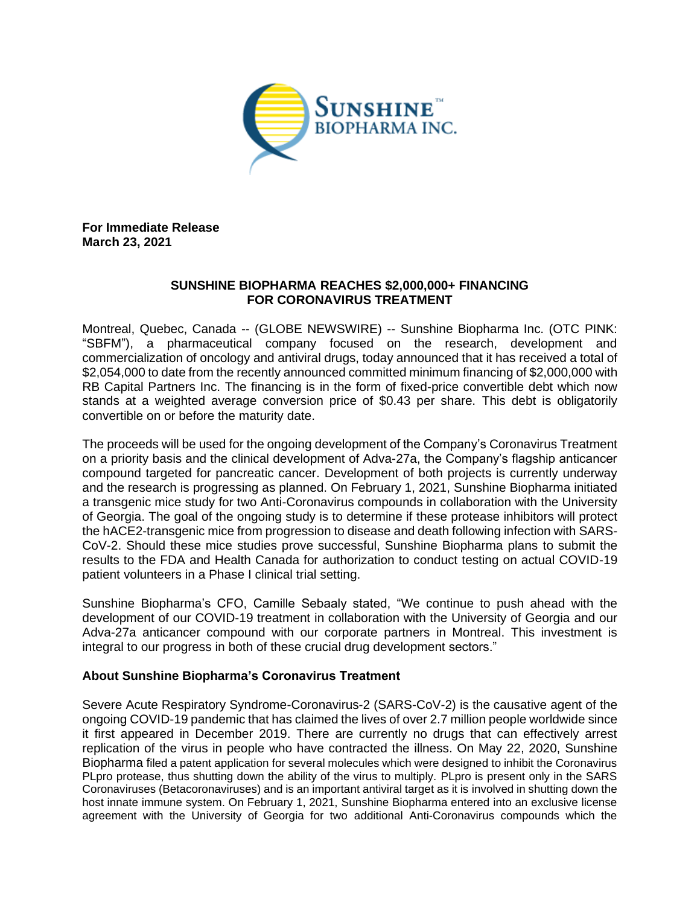

**For Immediate Release March 23, 2021**

# **SUNSHINE BIOPHARMA REACHES \$2,000,000+ FINANCING FOR CORONAVIRUS TREATMENT**

Montreal, Quebec, Canada -- (GLOBE NEWSWIRE) -- Sunshine Biopharma Inc. (OTC PINK: "SBFM"), a pharmaceutical company focused on the research, development and commercialization of oncology and antiviral drugs, today announced that it has received a total of \$2,054,000 to date from the recently announced committed minimum financing of \$2,000,000 with RB Capital Partners Inc. The financing is in the form of fixed-price convertible debt which now stands at a weighted average conversion price of \$0.43 per share. This debt is obligatorily convertible on or before the maturity date.

The proceeds will be used for the ongoing development of the Company's Coronavirus Treatment on a priority basis and the clinical development of Adva-27a, the Company's flagship anticancer compound targeted for pancreatic cancer. Development of both projects is currently underway and the research is progressing as planned. On February 1, 2021, Sunshine Biopharma initiated a transgenic mice study for two Anti-Coronavirus compounds in collaboration with the University of Georgia. The goal of the ongoing study is to determine if these protease inhibitors will protect the hACE2-transgenic mice from progression to disease and death following infection with SARS-CoV-2. Should these mice studies prove successful, Sunshine Biopharma plans to submit the results to the FDA and Health Canada for authorization to conduct testing on actual COVID-19 patient volunteers in a Phase I clinical trial setting.

Sunshine Biopharma's CFO, Camille Sebaaly stated, "We continue to push ahead with the development of our COVID-19 treatment in collaboration with the University of Georgia and our Adva-27a anticancer compound with our corporate partners in Montreal. This investment is integral to our progress in both of these crucial drug development sectors."

# **About Sunshine Biopharma's Coronavirus Treatment**

Severe Acute Respiratory Syndrome-Coronavirus-2 (SARS-CoV-2) is the causative agent of the ongoing COVID-19 pandemic that has claimed the lives of over 2.7 million people worldwide since it first appeared in December 2019. There are currently no drugs that can effectively arrest replication of the virus in people who have contracted the illness. On May 22, 2020, Sunshine Biopharma filed a patent application for several molecules which were designed to inhibit the Coronavirus PLpro protease, thus shutting down the ability of the virus to multiply. PLpro is present only in the SARS Coronaviruses (Betacoronaviruses) and is an important antiviral target as it is involved in shutting down the host innate immune system. On February 1, 2021, Sunshine Biopharma entered into an exclusive license agreement with the University of Georgia for two additional Anti-Coronavirus compounds which the